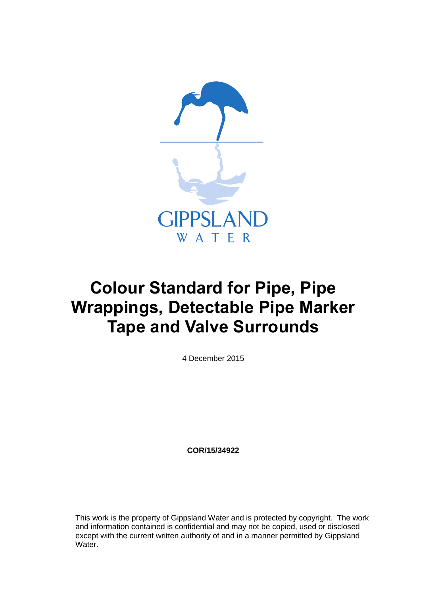

# **Colour Standard for Pipe, Pipe Wrappings, Detectable Pipe Marker Tape and Valve Surrounds**

4 December 2015

**COR/15/34922**

This work is the property of Gippsland Water and is protected by copyright. The work and information contained is confidential and may not be copied, used or disclosed except with the current written authority of and in a manner permitted by Gippsland Water.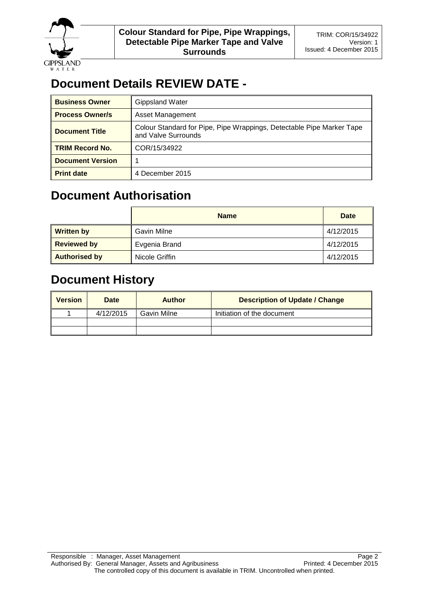

## **Document Details REVIEW DATE -**

| <b>Business Owner</b>   | <b>Gippsland Water</b>                                                                       |
|-------------------------|----------------------------------------------------------------------------------------------|
| <b>Process Owner/s</b>  | Asset Management                                                                             |
| <b>Document Title</b>   | Colour Standard for Pipe, Pipe Wrappings, Detectable Pipe Marker Tape<br>and Valve Surrounds |
| <b>TRIM Record No.</b>  | COR/15/34922                                                                                 |
| <b>Document Version</b> |                                                                                              |
| <b>Print date</b>       | 4 December 2015                                                                              |

## **Document Authorisation**

|                      | <b>Name</b>    | Date      |
|----------------------|----------------|-----------|
| <b>Written by</b>    | Gavin Milne    | 4/12/2015 |
| <b>Reviewed by</b>   | Evgenia Brand  | 4/12/2015 |
| <b>Authorised by</b> | Nicole Griffin | 4/12/2015 |

## **Document History**

| <b>Version</b> | Date      | <b>Author</b> | <b>Description of Update / Change</b> |
|----------------|-----------|---------------|---------------------------------------|
|                | 4/12/2015 | Gavin Milne   | Initiation of the document            |
|                |           |               |                                       |
|                |           |               |                                       |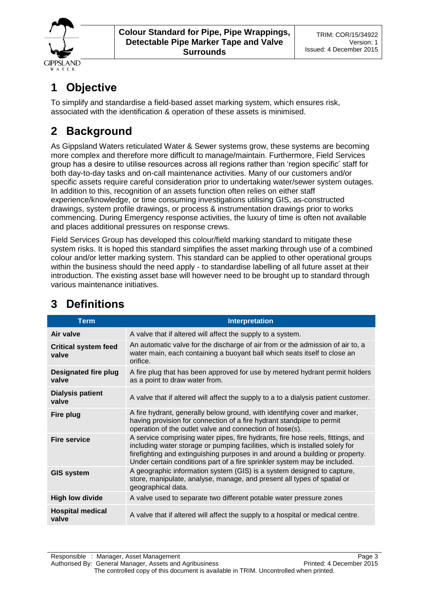

## **1 Objective**

To simplify and standardise a field-based asset marking system, which ensures risk, associated with the identification & operation of these assets is minimised.

## **2 Background**

As Gippsland Waters reticulated Water & Sewer systems grow, these systems are becoming more complex and therefore more difficult to manage/maintain. Furthermore, Field Services group has a desire to utilise resources across all regions rather than 'region specific' staff for both day-to-day tasks and on-call maintenance activities. Many of our customers and/or specific assets require careful consideration prior to undertaking water/sewer system outages. In addition to this, recognition of an assets function often relies on either staff experience/knowledge, or time consuming investigations utilising GIS, as-constructed drawings, system profile drawings, or process & instrumentation drawings prior to works commencing. During Emergency response activities, the luxury of time is often not available and places additional pressures on response crews.

Field Services Group has developed this colour/field marking standard to mitigate these system risks. It is hoped this standard simplifies the asset marking through use of a combined colour and/or letter marking system. This standard can be applied to other operational groups within the business should the need apply - to standardise labelling of all future asset at their introduction. The existing asset base will however need to be brought up to standard through various maintenance initiatives.

| <b>Term</b>                          | <b>Interpretation</b>                                                                                                                                                                                                                                                                                                         |
|--------------------------------------|-------------------------------------------------------------------------------------------------------------------------------------------------------------------------------------------------------------------------------------------------------------------------------------------------------------------------------|
| Air valve                            | A valve that if altered will affect the supply to a system.                                                                                                                                                                                                                                                                   |
| <b>Critical system feed</b><br>valve | An automatic valve for the discharge of air from or the admission of air to, a<br>water main, each containing a buoyant ball which seats itself to close an<br>orifice.                                                                                                                                                       |
| Designated fire plug<br>valve        | A fire plug that has been approved for use by metered hydrant permit holders<br>as a point to draw water from.                                                                                                                                                                                                                |
| <b>Dialysis patient</b><br>valve     | A valve that if altered will affect the supply to a to a dialysis patient customer.                                                                                                                                                                                                                                           |
| Fire plug                            | A fire hydrant, generally below ground, with identifying cover and marker,<br>having provision for connection of a fire hydrant standpipe to permit<br>operation of the outlet valve and connection of hose(s).                                                                                                               |
| <b>Fire service</b>                  | A service comprising water pipes, fire hydrants, fire hose reels, fittings, and<br>including water storage or pumping facilities, which is installed solely for<br>firefighting and extinguishing purposes in and around a building or property.<br>Under certain conditions part of a fire sprinkler system may be included. |
| <b>GIS system</b>                    | A geographic information system (GIS) is a system designed to capture,<br>store, manipulate, analyse, manage, and present all types of spatial or<br>geographical data.                                                                                                                                                       |
| <b>High low divide</b>               | A valve used to separate two different potable water pressure zones                                                                                                                                                                                                                                                           |
| <b>Hospital medical</b><br>valve     | A valve that if altered will affect the supply to a hospital or medical centre.                                                                                                                                                                                                                                               |

## **3 Definitions**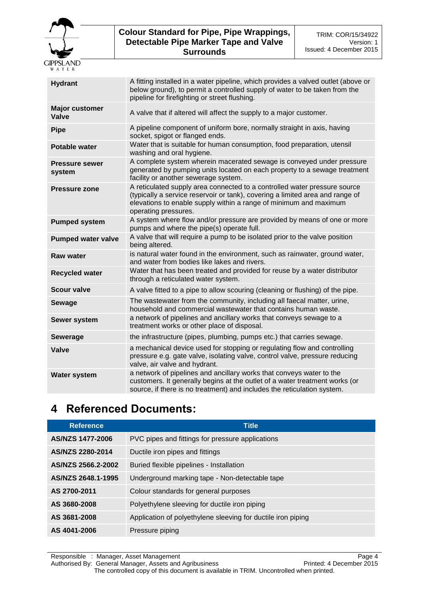

| <b>Hydrant</b>                  | A fitting installed in a water pipeline, which provides a valved outlet (above or<br>below ground), to permit a controlled supply of water to be taken from the<br>pipeline for firefighting or street flushing.                                        |
|---------------------------------|---------------------------------------------------------------------------------------------------------------------------------------------------------------------------------------------------------------------------------------------------------|
| <b>Major customer</b><br>Valve  | A valve that if altered will affect the supply to a major customer.                                                                                                                                                                                     |
| <b>Pipe</b>                     | A pipeline component of uniform bore, normally straight in axis, having<br>socket, spigot or flanged ends.                                                                                                                                              |
| <b>Potable water</b>            | Water that is suitable for human consumption, food preparation, utensil<br>washing and oral hygiene.                                                                                                                                                    |
| <b>Pressure sewer</b><br>system | A complete system wherein macerated sewage is conveyed under pressure<br>generated by pumping units located on each property to a sewage treatment<br>facility or another sewerage system.                                                              |
| <b>Pressure zone</b>            | A reticulated supply area connected to a controlled water pressure source<br>(typically a service reservoir or tank), covering a limited area and range of<br>elevations to enable supply within a range of minimum and maximum<br>operating pressures. |
| <b>Pumped system</b>            | A system where flow and/or pressure are provided by means of one or more<br>pumps and where the pipe(s) operate full.                                                                                                                                   |
| <b>Pumped water valve</b>       | A valve that will require a pump to be isolated prior to the valve position<br>being altered.                                                                                                                                                           |
| <b>Raw water</b>                | is natural water found in the environment, such as rainwater, ground water,<br>and water from bodies like lakes and rivers.                                                                                                                             |
| <b>Recycled water</b>           | Water that has been treated and provided for reuse by a water distributor<br>through a reticulated water system.                                                                                                                                        |
| <b>Scour valve</b>              | A valve fitted to a pipe to allow scouring (cleaning or flushing) of the pipe.                                                                                                                                                                          |
| <b>Sewage</b>                   | The wastewater from the community, including all faecal matter, urine,<br>household and commercial wastewater that contains human waste.                                                                                                                |
| Sewer system                    | a network of pipelines and ancillary works that conveys sewage to a<br>treatment works or other place of disposal.                                                                                                                                      |
| <b>Sewerage</b>                 | the infrastructure (pipes, plumbing, pumps etc.) that carries sewage.                                                                                                                                                                                   |
| Valve                           | a mechanical device used for stopping or regulating flow and controlling<br>pressure e.g. gate valve, isolating valve, control valve, pressure reducing<br>valve, air valve and hydrant.                                                                |
| <b>Water system</b>             | a network of pipelines and ancillary works that conveys water to the<br>customers. It generally begins at the outlet of a water treatment works (or<br>source, if there is no treatment) and includes the reticulation system.                          |
|                                 |                                                                                                                                                                                                                                                         |

## **4 Referenced Documents:**

| <b>Reference</b>   | <b>Title</b>                                                 |
|--------------------|--------------------------------------------------------------|
| AS/NZS 1477-2006   | PVC pipes and fittings for pressure applications             |
| AS/NZS 2280-2014   | Ductile iron pipes and fittings                              |
| AS/NZS 2566.2-2002 | Buried flexible pipelines - Installation                     |
| AS/NZS 2648.1-1995 | Underground marking tape - Non-detectable tape               |
| AS 2700-2011       | Colour standards for general purposes                        |
| AS 3680-2008       | Polyethylene sleeving for ductile iron piping                |
| AS 3681-2008       | Application of polyethylene sleeving for ductile iron piping |
| AS 4041-2006       | Pressure piping                                              |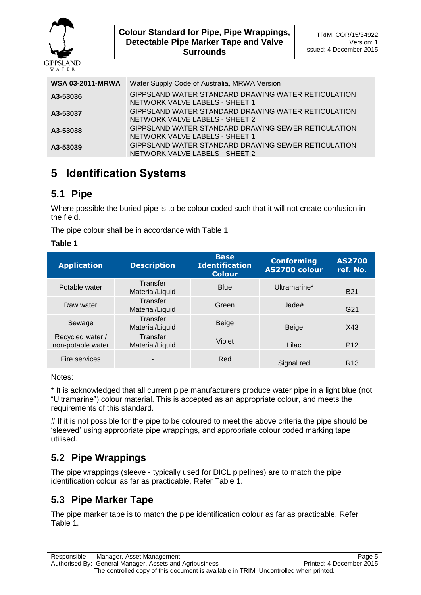

| <b>WSA 03-2011-MRWA</b> | Water Supply Code of Australia, MRWA Version                                          |
|-------------------------|---------------------------------------------------------------------------------------|
| A3-53036                | GIPPSLAND WATER STANDARD DRAWING WATER RETICULATION<br>NETWORK VALVE LABELS - SHEET 1 |
| A3-53037                | GIPPSLAND WATER STANDARD DRAWING WATER RETICULATION<br>NETWORK VALVE LABELS - SHEET 2 |
| A3-53038                | GIPPSLAND WATER STANDARD DRAWING SEWER RETICULATION<br>NETWORK VALVE LABELS - SHEET 1 |
| A3-53039                | GIPPSLAND WATER STANDARD DRAWING SEWER RETICULATION<br>NETWORK VALVE LABELS - SHEET 2 |

## **5 Identification Systems**

### **5.1 Pipe**

Where possible the buried pipe is to be colour coded such that it will not create confusion in the field.

The pipe colour shall be in accordance with Table 1

### **Table 1**

| <b>Application</b>                    | <b>Description</b>          | <b>Base</b><br><b>Identification</b><br><b>Colour</b> | <b>Conforming</b><br>AS2700 colour | <b>AS2700</b><br>ref. No. |
|---------------------------------------|-----------------------------|-------------------------------------------------------|------------------------------------|---------------------------|
| Potable water                         | Transfer<br>Material/Liquid | <b>Blue</b>                                           | Ultramarine*                       | <b>B21</b>                |
| Raw water                             | Transfer<br>Material/Liquid | Green                                                 | Jade#                              | G <sub>21</sub>           |
| Sewage                                | Transfer<br>Material/Liquid | Beige                                                 | <b>Beige</b>                       | X43                       |
| Recycled water /<br>non-potable water | Transfer<br>Material/Liquid | Violet                                                | Lilac                              | P <sub>12</sub>           |
| Fire services                         |                             | Red                                                   | Signal red                         | R <sub>13</sub>           |

Notes:

\* It is acknowledged that all current pipe manufacturers produce water pipe in a light blue (not "Ultramarine") colour material. This is accepted as an appropriate colour, and meets the requirements of this standard.

# If it is not possible for the pipe to be coloured to meet the above criteria the pipe should be 'sleeved' using appropriate pipe wrappings, and appropriate colour coded marking tape utilised.

### **5.2 Pipe Wrappings**

The pipe wrappings (sleeve - typically used for DICL pipelines) are to match the pipe identification colour as far as practicable, Refer Table 1.

### **5.3 Pipe Marker Tape**

The pipe marker tape is to match the pipe identification colour as far as practicable, Refer Table 1.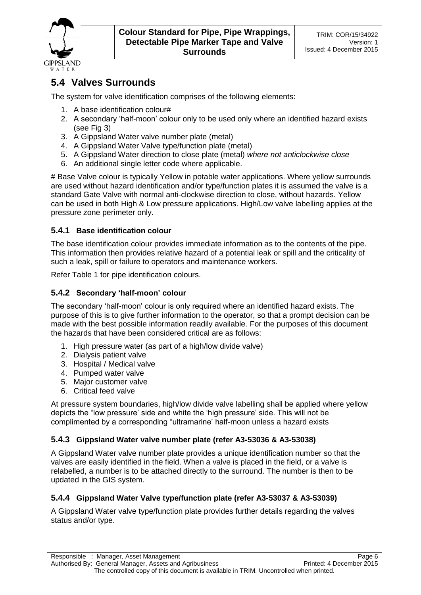

### **5.4 Valves Surrounds**

The system for valve identification comprises of the following elements:

- 1. A base identification colour#
- 2. A secondary 'half-moon' colour only to be used only where an identified hazard exists (see Fig 3)
- 3. A Gippsland Water valve number plate (metal)
- 4. A Gippsland Water Valve type/function plate (metal)
- 5. A Gippsland Water direction to close plate (metal) *where not anticlockwise close*
- 6. An additional single letter code where applicable.

# Base Valve colour is typically Yellow in potable water applications. Where yellow surrounds are used without hazard identification and/or type/function plates it is assumed the valve is a standard Gate Valve with normal anti-clockwise direction to close, without hazards. Yellow can be used in both High & Low pressure applications. High/Low valve labelling applies at the pressure zone perimeter only.

### **5.4.1 Base identification colour**

The base identification colour provides immediate information as to the contents of the pipe. This information then provides relative hazard of a potential leak or spill and the criticality of such a leak, spill or failure to operators and maintenance workers.

Refer Table 1 for pipe identification colours.

#### **5.4.2 Secondary 'half-moon' colour**

The secondary 'half-moon' colour is only required where an identified hazard exists. The purpose of this is to give further information to the operator, so that a prompt decision can be made with the best possible information readily available. For the purposes of this document the hazards that have been considered critical are as follows:

- 1. High pressure water (as part of a high/low divide valve)
- 2. Dialysis patient valve
- 3. Hospital / Medical valve
- 4. Pumped water valve
- 5. Major customer valve
- 6. Critical feed valve

At pressure system boundaries, high/low divide valve labelling shall be applied where yellow depicts the "low pressure' side and white the 'high pressure' side. This will not be complimented by a corresponding "ultramarine' half-moon unless a hazard exists

### **5.4.3 Gippsland Water valve number plate (refer A3-53036 & A3-53038)**

A Gippsland Water valve number plate provides a unique identification number so that the valves are easily identified in the field. When a valve is placed in the field, or a valve is relabelled, a number is to be attached directly to the surround. The number is then to be updated in the GIS system.

### **5.4.4 Gippsland Water Valve type/function plate (refer A3-53037 & A3-53039)**

A Gippsland Water valve type/function plate provides further details regarding the valves status and/or type.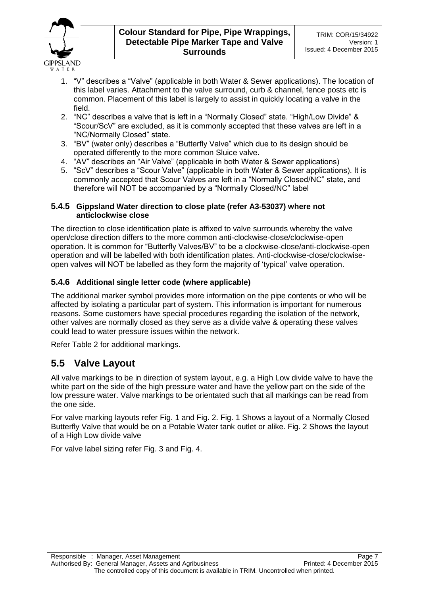

- 1. "V" describes a "Valve" (applicable in both Water & Sewer applications). The location of this label varies. Attachment to the valve surround, curb & channel, fence posts etc is common. Placement of this label is largely to assist in quickly locating a valve in the field.
- 2. "NC" describes a valve that is left in a "Normally Closed" state. "High/Low Divide" & "Scour/ScV" are excluded, as it is commonly accepted that these valves are left in a "NC/Normally Closed" state.
- 3. "BV" (water only) describes a "Butterfly Valve" which due to its design should be operated differently to the more common Sluice valve.
- 4. "AV" describes an "Air Valve" (applicable in both Water & Sewer applications)
- 5. "ScV" describes a "Scour Valve" (applicable in both Water & Sewer applications). It is commonly accepted that Scour Valves are left in a "Normally Closed/NC" state, and therefore will NOT be accompanied by a "Normally Closed/NC" label

#### **5.4.5 Gippsland Water direction to close plate (refer A3-53037) where not anticlockwise close**

The direction to close identification plate is affixed to valve surrounds whereby the valve open/close direction differs to the more common anti-clockwise-close/clockwise-open operation. It is common for "Butterfly Valves/BV" to be a clockwise-close/anti-clockwise-open operation and will be labelled with both identification plates. Anti-clockwise-close/clockwiseopen valves will NOT be labelled as they form the majority of 'typical' valve operation.

### **5.4.6 Additional single letter code (where applicable)**

The additional marker symbol provides more information on the pipe contents or who will be affected by isolating a particular part of system. This information is important for numerous reasons. Some customers have special procedures regarding the isolation of the network, other valves are normally closed as they serve as a divide valve & operating these valves could lead to water pressure issues within the network.

Refer Table 2 for additional markings.

### **5.5 Valve Layout**

All valve markings to be in direction of system layout, e.g. a High Low divide valve to have the white part on the side of the high pressure water and have the yellow part on the side of the low pressure water. Valve markings to be orientated such that all markings can be read from the one side.

For valve marking layouts refer Fig. 1 and Fig. 2. Fig. 1 Shows a layout of a Normally Closed Butterfly Valve that would be on a Potable Water tank outlet or alike. Fig. 2 Shows the layout of a High Low divide valve

For valve label sizing refer Fig. 3 and Fig. 4.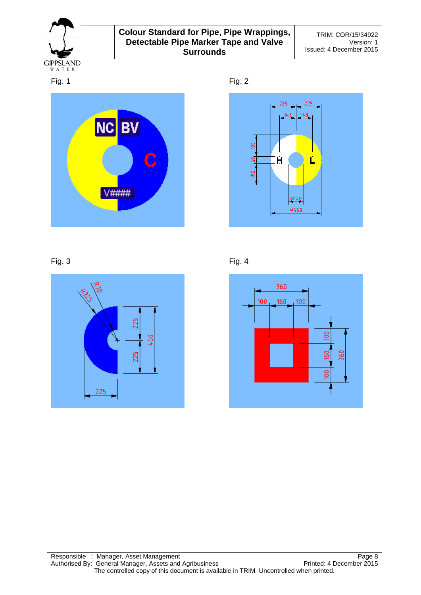













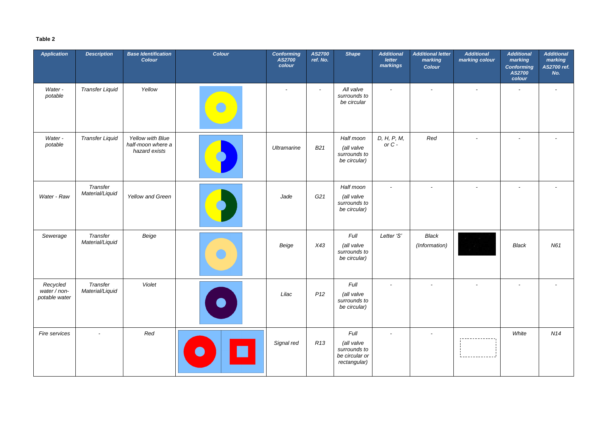### **Table 2**

| <b>Application</b>                        | <b>Description</b>          | <b>Base Identification</b><br><b>Colour</b>            | Colour | <b>Conforming</b><br><b>AS2700</b><br>colour | AS2700<br>ref. No. | <b>Shape</b>                                                         | <b>Additional</b><br><b>letter</b><br>markings | <b>Additional letter</b><br>marking<br><b>Colour</b> | <b>Additional</b><br>marking colour | <b>Additional</b><br>marking<br><b>Conforming</b><br><b>AS2700</b><br>colour | <b>Additional</b><br>marking<br>AS2700 ref.<br>No. |
|-------------------------------------------|-----------------------------|--------------------------------------------------------|--------|----------------------------------------------|--------------------|----------------------------------------------------------------------|------------------------------------------------|------------------------------------------------------|-------------------------------------|------------------------------------------------------------------------------|----------------------------------------------------|
| Water -<br>potable                        | <b>Transfer Liquid</b>      | Yellow                                                 |        |                                              | $\sim$             | All valve<br>surrounds to<br>be circular                             | $\overline{\phantom{a}}$                       | $\overline{\phantom{a}}$                             | $\overline{\phantom{a}}$            | $\overline{\phantom{a}}$                                                     | $\overline{\phantom{0}}$                           |
| Water -<br>potable                        | <b>Transfer Liquid</b>      | Yellow with Blue<br>half-moon where a<br>hazard exists |        | Ultramarine                                  | B <sub>21</sub>    | Half moon<br>(all valve<br>surrounds to<br>be circular)              | D, H, P, M,<br>or $C$ -                        | Red                                                  | $\overline{\phantom{a}}$            |                                                                              |                                                    |
| Water - Raw                               | Transfer<br>Material/Liquid | Yellow and Green                                       |        | Jade                                         | G21                | Half moon<br>(all valve<br>surrounds to<br>be circular)              | $\overline{\phantom{a}}$                       | $\overline{\phantom{a}}$                             | $\overline{\phantom{a}}$            |                                                                              | $\overline{\phantom{a}}$                           |
| Sewerage                                  | Transfer<br>Material/Liquid | Beige                                                  |        | Beige                                        | X43                | <b>Full</b><br>(all valve<br>surrounds to<br>be circular)            | Letter 'S'                                     | <b>Black</b><br>(Information)                        |                                     | Black                                                                        | N61                                                |
| Recycled<br>water / non-<br>potable water | Transfer<br>Material/Liquid | Violet                                                 |        | Lilac                                        | P12                | Full<br>(all valve<br>surrounds to<br>be circular)                   | $\overline{\phantom{a}}$                       | $\overline{\phantom{a}}$                             | $\overline{\phantom{a}}$            | $\overline{\phantom{a}}$                                                     | $\overline{\phantom{a}}$                           |
| Fire services                             |                             | Red                                                    |        | Signal red                                   | R13                | Full<br>(all valve<br>surrounds to<br>be circular or<br>rectangular) | $\overline{\phantom{a}}$                       | $\overline{\phantom{a}}$                             |                                     | White                                                                        | N14                                                |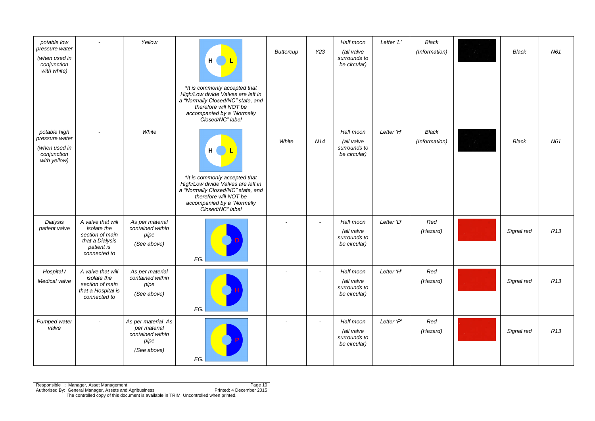| potable low<br>pressure water<br>(when used in<br>conjunction<br>with white)   |                                                                                                      | Yellow                                                                        | H <sub>1</sub><br>L<br>*It is commonly accepted that<br>High/Low divide Valves are left in<br>a "Normally Closed/NC" state, and<br>therefore will NOT be<br>accompanied by a "Normally<br>Closed/NC" label          | <b>Buttercup</b> | Y23                      | Half moon<br>(all valve<br>surrounds to<br>be circular) | Letter 'L' | <b>Black</b><br>(Information) | <b>Black</b> | N61             |
|--------------------------------------------------------------------------------|------------------------------------------------------------------------------------------------------|-------------------------------------------------------------------------------|---------------------------------------------------------------------------------------------------------------------------------------------------------------------------------------------------------------------|------------------|--------------------------|---------------------------------------------------------|------------|-------------------------------|--------------|-----------------|
| potable high<br>pressure water<br>(when used in<br>conjunction<br>with yellow) |                                                                                                      | White                                                                         | H <sub>1</sub><br><u>) L</u><br>*It is commonly accepted that<br>High/Low divide Valves are left in<br>a "Normally Closed/NC" state, and<br>therefore will NOT be<br>accompanied by a "Normally<br>Closed/NC" label | White            | N14                      | Half moon<br>(all valve<br>surrounds to<br>be circular) | Letter 'H' | <b>Black</b><br>(Information) | <b>Black</b> | N61             |
| Dialysis<br>patient valve                                                      | A valve that will<br>isolate the<br>section of main<br>that a Dialysis<br>patient is<br>connected to | As per material<br>contained within<br>pipe<br>(See above)                    | EG.                                                                                                                                                                                                                 |                  | $\overline{\phantom{a}}$ | Half moon<br>(all valve<br>surrounds to<br>be circular) | Letter 'D' | Red<br>(Hazard)               | Signal red   | R13             |
| Hospital /<br>Medical valve                                                    | A valve that will<br>isolate the<br>section of main<br>that a Hospital is<br>connected to            | As per material<br>contained within<br>pipe<br>(See above)                    | EG.                                                                                                                                                                                                                 |                  | $\overline{\phantom{a}}$ | Half moon<br>(all valve<br>surrounds to<br>be circular) | Letter 'H' | Red<br>(Hazard)               | Signal red   | R13             |
| Pumped water<br>valve                                                          | $\overline{\phantom{a}}$                                                                             | As per material As<br>per material<br>contained within<br>pipe<br>(See above) | EG.                                                                                                                                                                                                                 |                  | $\sim$                   | Half moon<br>(all valve<br>surrounds to<br>be circular) | Letter 'P' | Red<br>(Hazard)               | Signal red   | R <sub>13</sub> |